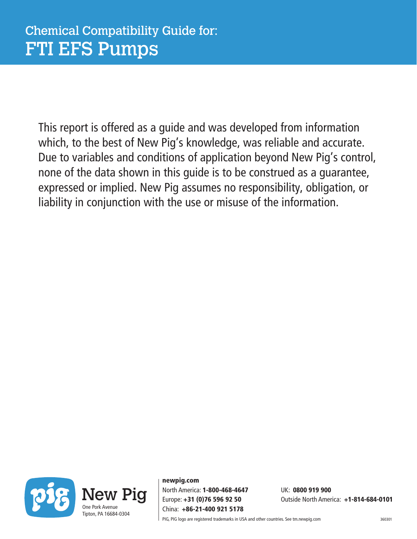This report is offered as a guide and was developed from information which, to the best of New Pig's knowledge, was reliable and accurate. Due to variables and conditions of application beyond New Pig's control, none of the data shown in this guide is to be construed as a guarantee, expressed or implied. New Pig assumes no responsibility, obligation, or liability in conjunction with the use or misuse of the information.



newpig.com North America: 1-800-468-4647 UK: 0800 919 900 China: +86-21-400 921 5178

Europe: +31 (0)76 596 92 50 Outside North America: +1-814-684-0101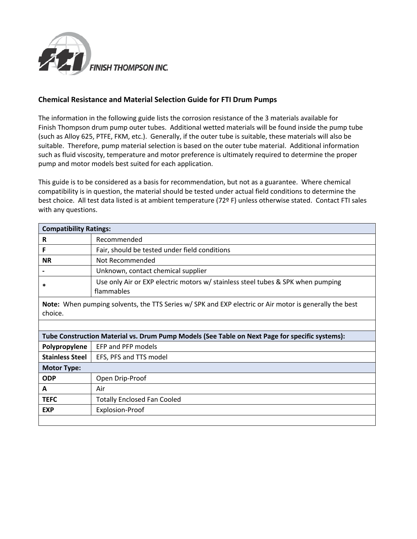

## **Chemical Resistance and Material Selection Guide for FTI Drum Pumps**

The information in the following guide lists the corrosion resistance of the 3 materials available for Finish Thompson drum pump outer tubes. Additional wetted materials will be found inside the pump tube (such as Alloy 625, PTFE, FKM, etc.). Generally, if the outer tube is suitable, these materials will also be suitable. Therefore, pump material selection is based on the outer tube material. Additional information such as fluid viscosity, temperature and motor preference is ultimately required to determine the proper pump and motor models best suited for each application.

This guide is to be considered as a basis for recommendation, but not as a guarantee. Where chemical compatibility is in question, the material should be tested under actual field conditions to determine the best choice. All test data listed is at ambient temperature (72º F) unless otherwise stated. Contact FTI sales with any questions.

| <b>Compatibility Ratings:</b>                                                                          |                                                                                               |  |
|--------------------------------------------------------------------------------------------------------|-----------------------------------------------------------------------------------------------|--|
|                                                                                                        | Recommended                                                                                   |  |
|                                                                                                        | Fair, should be tested under field conditions                                                 |  |
| <b>NR</b>                                                                                              | Not Recommended                                                                               |  |
|                                                                                                        | Unknown, contact chemical supplier                                                            |  |
| $\ast$                                                                                                 | Use only Air or EXP electric motors w/ stainless steel tubes & SPK when pumping<br>flammables |  |
| Note: Whop numping solvents, the TTC Cerics w/ CDV and EVD electric or Air motor is generally the best |                                                                                               |  |

**Note:** When pumping solvents, the TTS Series w/ SPK and EXP electric or Air motor is generally the best choice.

| Tube Construction Material vs. Drum Pump Models (See Table on Next Page for specific systems): |                                    |  |
|------------------------------------------------------------------------------------------------|------------------------------------|--|
| Polypropylene                                                                                  | EFP and PFP models                 |  |
| <b>Stainless Steel</b>                                                                         | EFS, PFS and TTS model             |  |
| <b>Motor Type:</b>                                                                             |                                    |  |
| <b>ODP</b>                                                                                     | Open Drip-Proof                    |  |
| A                                                                                              | Air                                |  |
| <b>TEFC</b>                                                                                    | <b>Totally Enclosed Fan Cooled</b> |  |
| <b>EXP</b>                                                                                     | Explosion-Proof                    |  |
|                                                                                                |                                    |  |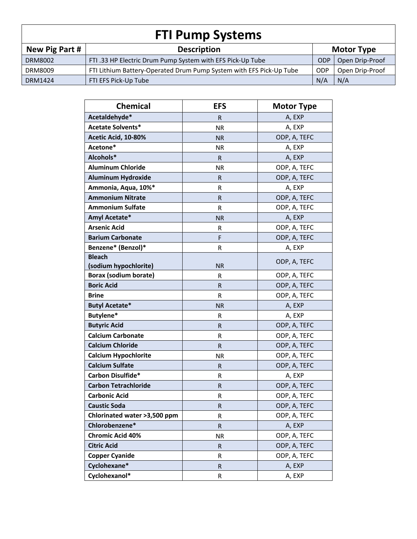| <b>FTI Pump Systems</b> |                                                                     |            |                   |  |
|-------------------------|---------------------------------------------------------------------|------------|-------------------|--|
| New Pig Part #          | <b>Description</b>                                                  |            | <b>Motor Type</b> |  |
| <b>DRM8002</b>          | FTI .33 HP Electric Drum Pump System with EFS Pick-Up Tube          | <b>ODP</b> | Open Drip-Proof   |  |
| DRM8009                 | FTI Lithium Battery-Operated Drum Pump System with EFS Pick-Up Tube | <b>ODP</b> | Open Drip-Proof   |  |
| <b>DRM1424</b>          | FTI EFS Pick-Up Tube                                                | N/A        | N/A               |  |

| <b>Chemical</b>              | <b>EFS</b>   | <b>Motor Type</b> |
|------------------------------|--------------|-------------------|
| Acetaldehyde*                | R            | A, EXP            |
| <b>Acetate Solvents*</b>     | <b>NR</b>    | A, EXP            |
| Acetic Acid, 10-80%          | <b>NR</b>    | ODP, A, TEFC      |
| Acetone*                     | <b>NR</b>    | A, EXP            |
| Alcohols*                    | R            | A, EXP            |
| <b>Aluminum Chloride</b>     | <b>NR</b>    | ODP, A, TEFC      |
| <b>Aluminum Hydroxide</b>    | R            | ODP, A, TEFC      |
| Ammonia, Aqua, 10%*          | R            | A, EXP            |
| <b>Ammonium Nitrate</b>      | R            | ODP, A, TEFC      |
| <b>Ammonium Sulfate</b>      | R            | ODP, A, TEFC      |
| Amyl Acetate*                | <b>NR</b>    | A, EXP            |
| <b>Arsenic Acid</b>          | R            | ODP, A, TEFC      |
| <b>Barium Carbonate</b>      | F            | ODP, A, TEFC      |
| Benzene* (Benzol)*           | R            | A, EXP            |
| <b>Bleach</b>                |              | ODP, A, TEFC      |
| (sodium hypochlorite)        | <b>NR</b>    |                   |
| <b>Borax (sodium borate)</b> | R            | ODP, A, TEFC      |
| <b>Boric Acid</b>            | R            | ODP, A, TEFC      |
| <b>Brine</b>                 | R            | ODP, A, TEFC      |
| <b>Butyl Acetate*</b>        | <b>NR</b>    | A, EXP            |
| Butylene*                    | R            | A, EXP            |
| <b>Butyric Acid</b>          | R            | ODP, A, TEFC      |
| <b>Calcium Carbonate</b>     | R            | ODP, A, TEFC      |
| <b>Calcium Chloride</b>      | $\mathsf R$  | ODP, A, TEFC      |
| <b>Calcium Hypochlorite</b>  | <b>NR</b>    | ODP, A, TEFC      |
| <b>Calcium Sulfate</b>       | R            | ODP, A, TEFC      |
| Carbon Disulfide*            | R            | A, EXP            |
| <b>Carbon Tetrachloride</b>  | R            | ODP, A, TEFC      |
| <b>Carbonic Acid</b>         | R            | ODP, A, TEFC      |
| <b>Caustic Soda</b>          | ${\sf R}$    | ODP, A, TEFC      |
| Chlorinated water >3,500 ppm | R            | ODP, A, TEFC      |
| Chlorobenzene*               | R            | A, EXP            |
| <b>Chromic Acid 40%</b>      | <b>NR</b>    | ODP, A, TEFC      |
| <b>Citric Acid</b>           | $\mathsf{R}$ | ODP, A, TEFC      |
| <b>Copper Cyanide</b>        | R            | ODP, A, TEFC      |
| Cyclohexane*                 | R            | A, EXP            |
| Cyclohexanol*                | R            | A, EXP            |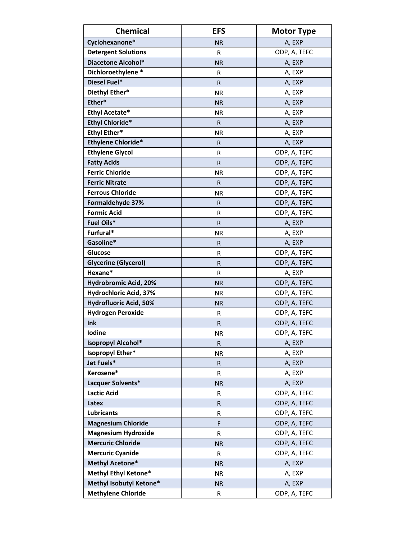| <b>Chemical</b>               | <b>EFS</b>   | <b>Motor Type</b> |
|-------------------------------|--------------|-------------------|
| Cyclohexanone*                | <b>NR</b>    | A, EXP            |
| <b>Detergent Solutions</b>    | R            | ODP, A, TEFC      |
| <b>Diacetone Alcohol*</b>     | <b>NR</b>    | A, EXP            |
| Dichloroethylene*             | R            | A, EXP            |
| Diesel Fuel*                  | $\mathsf{R}$ | A, EXP            |
| Diethyl Ether*                | <b>NR</b>    | A, EXP            |
| Ether*                        | <b>NR</b>    | A, EXP            |
| <b>Ethyl Acetate*</b>         | <b>NR</b>    | A, EXP            |
| <b>Ethyl Chloride*</b>        | $\mathsf{R}$ | A, EXP            |
| <b>Ethyl Ether*</b>           | <b>NR</b>    | A, EXP            |
| <b>Ethylene Chloride*</b>     | $\mathsf{R}$ | A, EXP            |
| <b>Ethylene Glycol</b>        | R            | ODP, A, TEFC      |
| <b>Fatty Acids</b>            | $\mathsf{R}$ | ODP, A, TEFC      |
| <b>Ferric Chloride</b>        | <b>NR</b>    | ODP, A, TEFC      |
| <b>Ferric Nitrate</b>         | $\mathsf{R}$ | ODP, A, TEFC      |
| <b>Ferrous Chloride</b>       | <b>NR</b>    | ODP, A, TEFC      |
| Formaldehyde 37%              | R            | ODP, A, TEFC      |
| <b>Formic Acid</b>            | R            | ODP, A, TEFC      |
| Fuel Oils*                    | R            | A, EXP            |
| Furfural*                     | <b>NR</b>    | A, EXP            |
| Gasoline*                     | R            | A, EXP            |
| Glucose                       | R            | ODP, A, TEFC      |
| <b>Glycerine (Glycerol)</b>   | R            | ODP, A, TEFC      |
| Hexane*                       | R            | A, EXP            |
| Hydrobromic Acid, 20%         | <b>NR</b>    | ODP, A, TEFC      |
| Hydrochloric Acid, 37%        | <b>NR</b>    | ODP, A, TEFC      |
| <b>Hydrofluoric Acid, 50%</b> | <b>NR</b>    | ODP, A, TEFC      |
| <b>Hydrogen Peroxide</b>      | R            | ODP, A, TEFC      |
| Ink                           | R            | ODP, A, TEFC      |
| <b>lodine</b>                 | <b>NR</b>    | ODP, A, TEFC      |
| <b>Isopropyl Alcohol*</b>     | $\mathsf R$  | A, EXP            |
| Isopropyl Ether*              | <b>NR</b>    | A, EXP            |
| Jet Fuels*                    | $\mathsf{R}$ | A, EXP            |
| Kerosene*                     | R            | A, EXP            |
| Lacquer Solvents*             | <b>NR</b>    | A, EXP            |
| <b>Lactic Acid</b>            | R            | ODP, A, TEFC      |
| Latex                         | ${\sf R}$    | ODP, A, TEFC      |
| <b>Lubricants</b>             | R            | ODP, A, TEFC      |
| <b>Magnesium Chloride</b>     | F            | ODP, A, TEFC      |
| <b>Magnesium Hydroxide</b>    | R            | ODP, A, TEFC      |
| <b>Mercuric Chloride</b>      | <b>NR</b>    | ODP, A, TEFC      |
| <b>Mercuric Cyanide</b>       | R            | ODP, A, TEFC      |
| <b>Methyl Acetone*</b>        | <b>NR</b>    | A, EXP            |
| Methyl Ethyl Ketone*          | <b>NR</b>    | A, EXP            |
| Methyl Isobutyl Ketone*       | <b>NR</b>    | A, EXP            |
| <b>Methylene Chloride</b>     | ${\sf R}$    | ODP, A, TEFC      |